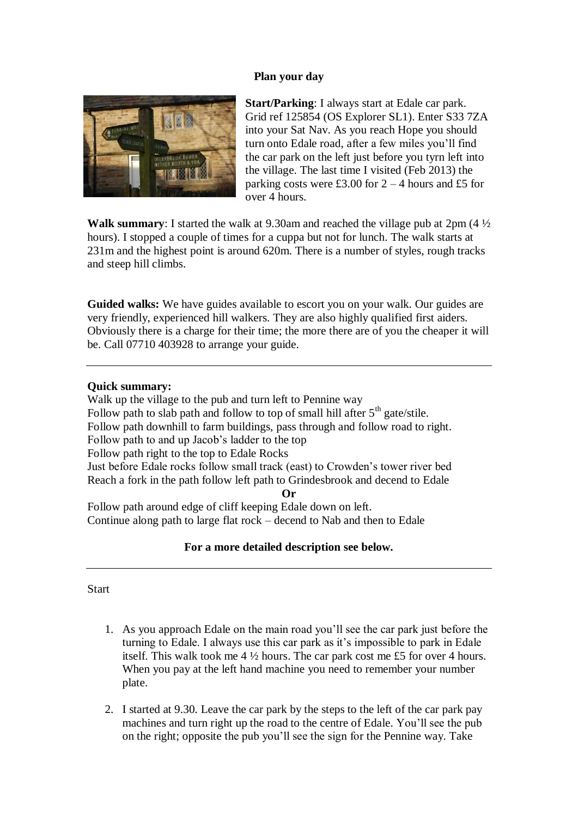## **Plan your day**



**Start/Parking**: I always start at Edale car park. Grid ref 125854 (OS Explorer SL1). Enter S33 7ZA into your Sat Nav. As you reach Hope you should turn onto Edale road, after a few miles you'll find the car park on the left just before you tyrn left into the village. The last time I visited (Feb 2013) the parking costs were £3.00 for  $2 - 4$  hours and £5 for over 4 hours.

**Walk summary**: I started the walk at 9.30am and reached the village pub at 2pm (4 ½ hours). I stopped a couple of times for a cuppa but not for lunch. The walk starts at 231m and the highest point is around 620m. There is a number of styles, rough tracks and steep hill climbs.

**Guided walks:** We have guides available to escort you on your walk. Our guides are very friendly, experienced hill walkers. They are also highly qualified first aiders. Obviously there is a charge for their time; the more there are of you the cheaper it will be. Call 07710 403928 to arrange your guide.

## **Quick summary:**

Walk up the village to the pub and turn left to Pennine way Follow path to slab path and follow to top of small hill after  $5<sup>th</sup>$  gate/stile. Follow path downhill to farm buildings, pass through and follow road to right. Follow path to and up Jacob's ladder to the top Follow path right to the top to Edale Rocks Just before Edale rocks follow small track (east) to Crowden's tower river bed Reach a fork in the path follow left path to Grindesbrook and decend to Edale **Or**

Follow path around edge of cliff keeping Edale down on left. Continue along path to large flat rock – decend to Nab and then to Edale

## **For a more detailed description see below.**

**Start** 

- 1. As you approach Edale on the main road you'll see the car park just before the turning to Edale. I always use this car park as it's impossible to park in Edale itself. This walk took me 4 ½ hours. The car park cost me £5 for over 4 hours. When you pay at the left hand machine you need to remember your number plate.
- 2. I started at 9.30. Leave the car park by the steps to the left of the car park pay machines and turn right up the road to the centre of Edale. You'll see the pub on the right; opposite the pub you'll see the sign for the Pennine way. Take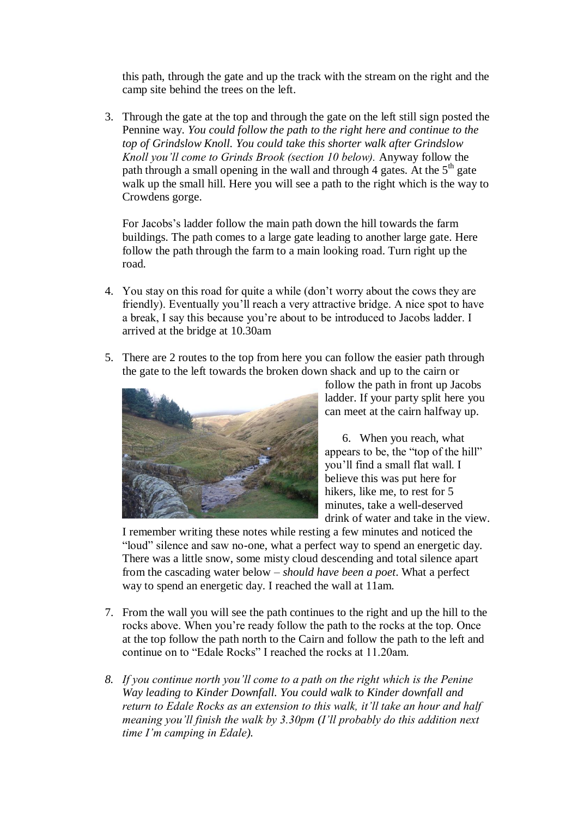this path, through the gate and up the track with the stream on the right and the camp site behind the trees on the left.

3. Through the gate at the top and through the gate on the left still sign posted the Pennine way. *You could follow the path to the right here and continue to the top of Grindslow Knoll. You could take this shorter walk after Grindslow Knoll you'll come to Grinds Brook (section 10 below).* Anyway follow the path through a small opening in the wall and through 4 gates. At the  $5<sup>th</sup>$  gate walk up the small hill. Here you will see a path to the right which is the way to Crowdens gorge.

For Jacobs's ladder follow the main path down the hill towards the farm buildings. The path comes to a large gate leading to another large gate. Here follow the path through the farm to a main looking road. Turn right up the road.

- 4. You stay on this road for quite a while (don't worry about the cows they are friendly). Eventually you'll reach a very attractive bridge. A nice spot to have a break, I say this because you're about to be introduced to Jacobs ladder. I arrived at the bridge at 10.30am
- 5. There are 2 routes to the top from here you can follow the easier path through the gate to the left towards the broken down shack and up to the cairn or



follow the path in front up Jacobs ladder. If your party split here you can meet at the cairn halfway up.

6. When you reach, what appears to be, the "top of the hill" you'll find a small flat wall. I believe this was put here for hikers, like me, to rest for 5 minutes, take a well-deserved drink of water and take in the view.

I remember writing these notes while resting a few minutes and noticed the "loud" silence and saw no-one, what a perfect way to spend an energetic day. There was a little snow, some misty cloud descending and total silence apart from the cascading water below – *should have been a poet*. What a perfect way to spend an energetic day. I reached the wall at 11am.

- 7. From the wall you will see the path continues to the right and up the hill to the rocks above. When you're ready follow the path to the rocks at the top. Once at the top follow the path north to the Cairn and follow the path to the left and continue on to "Edale Rocks" I reached the rocks at 11.20am.
- *8. If you continue north you'll come to a path on the right which is the Penine Way leading to Kinder Downfall. You could walk to Kinder downfall and return to Edale Rocks as an extension to this walk, it'll take an hour and half meaning you'll finish the walk by 3.30pm (I'll probably do this addition next time I'm camping in Edale).*